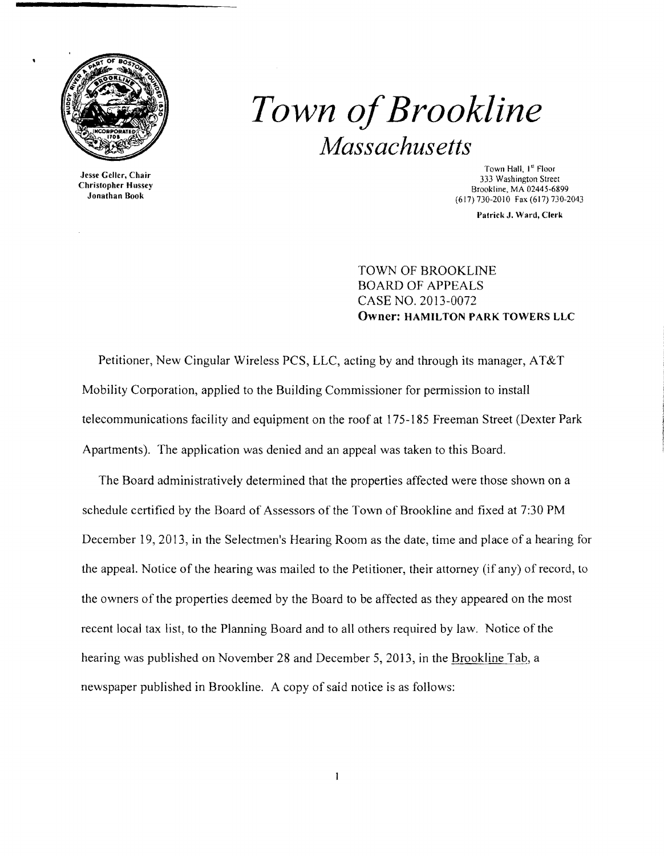

Jesse Geller, Chair Christopher Hussey Jonathan Book

# *Town ofBrookline Massachusetts*

Town Hall, I" Floor 333 Washington Street Brookline, MA 02445-6899 (617) 730-2010 Fax (617) 730-2043

Patrick J. Ward, Clerk

TOWN OF BROOKLINE BOARD OF APPEALS CASE NO. 2013-0072 **Owner: HAMILTON PARK TOWERS LLC** 

Petitioner, New Cingular Wireless PCS, LLC, acting by and through its manager, AT&T Mobility Corporation, applied to the Building Commissioner for permission to install telecommunications facility and equipment on the roof at 175-185 Freeman Street (Dexter Park Apartments). The application was denied and an appeal was taken to this Board.

The Board administratively determined that the properties affected were those shown on a schedule certified by the Board of Assessors of the Town of Brookline and fixed at 7:30 PM December 19,2013, in the Selectmen's Hearing Room as the date, time and place of a hearing for the appeal. Notice of the hearing was mailed to the Petitioner, their attorney (if any) of record, to the owners of the properties deemed by the Board to be affected as they appeared on the most recent local tax list, to the Planning Board and to all others required by law. Notice of the hearing was published on November 28 and December 5, 2013, in the Brookline Tab, a newspaper published in Brookline. A copy of said notice is as follows:

 $\mathbf{I}$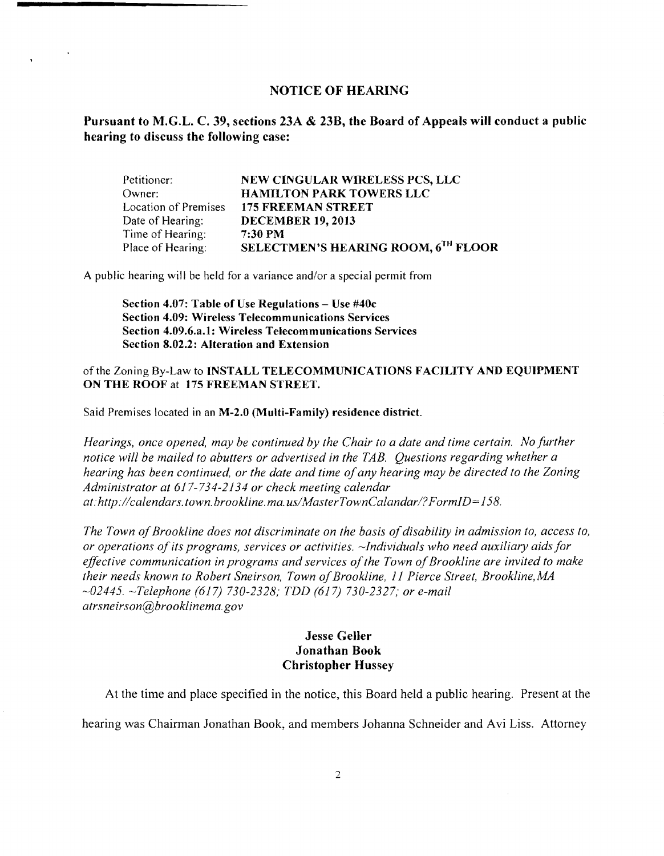#### NOTICE OF HEARING

## Pursuant to M.G.L. C. 39, sections 23A & 23B, the Board of Appeals will conduct a public hearing to discuss the following case:

| Petitioner:                 | NEW CINGULAR WIRELESS PCS, LLC      |
|-----------------------------|-------------------------------------|
| Owner:                      | <b>HAMILTON PARK TOWERS LLC</b>     |
| <b>Location of Premises</b> | <b>175 FREEMAN STREET</b>           |
| Date of Hearing:            | <b>DECEMBER 19, 2013</b>            |
| Time of Hearing:            | 7:30 PM                             |
| Place of Hearing:           | SELECTMEN'S HEARING ROOM, 6TH FLOOR |

A public hearing will be held for a variance and/or a special permit from

Section 4.07: Table of Use Regulations  $-$  Use #40c Section 4.09: Wireless Telecommunications Services Section 4.09.6.a.1: Wireless Telecommunications Services Section 8.02.2: Alteration and Extension

of the Zoning By-Law to INSTALL TELECOMMUNICATIONS FACILITY AND EQUIPMENT ON THE ROOF at 175 FREEMAN STREET.

Said Premises located in an M-2.0 (Multi-Family) residence district.

*Hearings, once opened, may be continued by the Chair to a date and time certain. No further notice will be mailed to abutters or advertised in the TAB. Questions regarding whether a hearing has been continued, or the date and time ofany hearing may be directed to the Zoning Administrator at* 61 734-2134 *or check meeting calendar at:http://calendars. town. brookline. ma. uslMasterTownCalandarl? FormlD= 158.* 

The Town of Brookline does not discriminate on the basis of disability in admission to, access to, *or operations ofits programs, services or activities.* ~Jndividuals *who need auxiliary aids for*  effective communication in programs and services of the Town of Brookline are invited to make *their needs known to Robert Sneirson, Town ofBrookline,* 11 *Pierce Street, Brookline,MA -02445. -Telephone* (617) *730-2328; TDD* (617) *730-2327; or e-mail atrsneirson@brooklinema.gov* 

#### Jesse Geller Jonathan Book Christopher Hussey

At the time and place specified in the notice, this Board held a public hearing. Present at the hearing was Chairman Jonathan Book, and members Johanna Schneider and Avi Liss. Attorney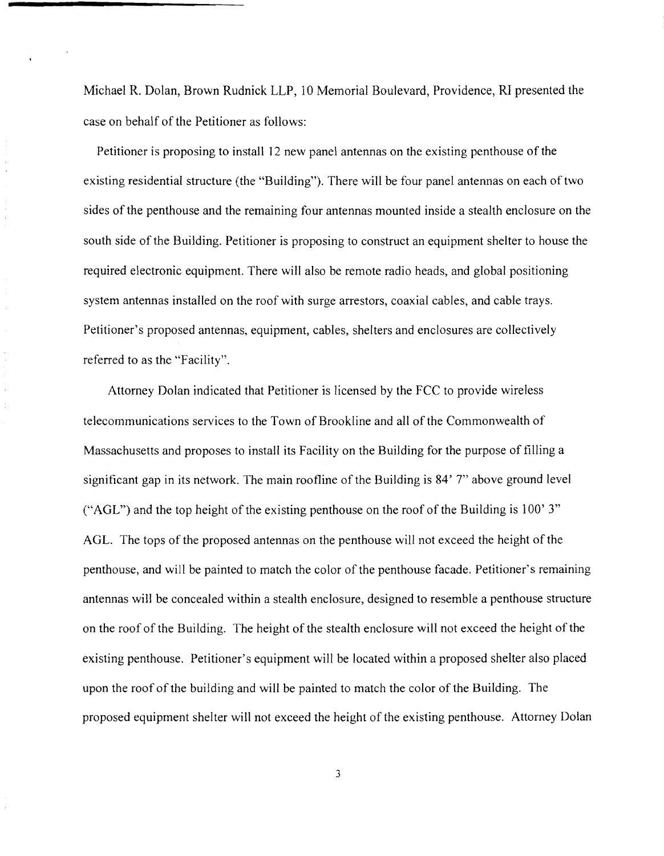Michael R. Dolan, Brown Rudnick LLP, 10 Memorial Boulevard, Providence, RI presented the case on behalf of the Petitioner as follows:

Petitioner is proposing to install 12 new panel antennas on the existing penthouse of the existing residential structure (the "Building"). There will be four panel antennas on each of two sides of the penthouse and the remaining four antennas mounted inside a stealth enclosure on the south side of the Building. Petitioner is proposing to construct an equipment shelter to house the required electronic equipment. There will also be remote radio heads, and global positioning system antennas installed on the roof with surge arrestors, coaxial cables, and cable trays. Petitioner's proposed antennas, equipment, cables, shelters and enclosures are collectively referred to as the "Facility".

Attorney Dolan indicated that Petitioner is licensed by the FCC to provide wireless telecommunications services to the Town of Brookline and all of the Commonwealth of Massachusetts and proposes to install its Facility on the Building for the purpose of filling a significant gap in its network. The main roofline of the Building is 84' 7" above ground level ("AGL") and the top height of the existing penthouse on the roof of the Building is  $100'$  3" AGL. The tops of the proposed antennas on the penthouse will not exceed the height of the penthouse, and will be painted to match the color of the penthouse facade. Petitioner's remaining antennas will be concealed within a stealth enclosure, designed to resemble a penthouse structure on the roof of the Building. The height of the stealth enclosure will not exceed the height of the existing penthouse. Petitioner's equipment will be located within a proposed shelter also placed upon the roof ofthe building and will be painted to match the color of the Building. The proposed equipment shelter will not exceed the height of the existing penthouse. Attorney Dolan

3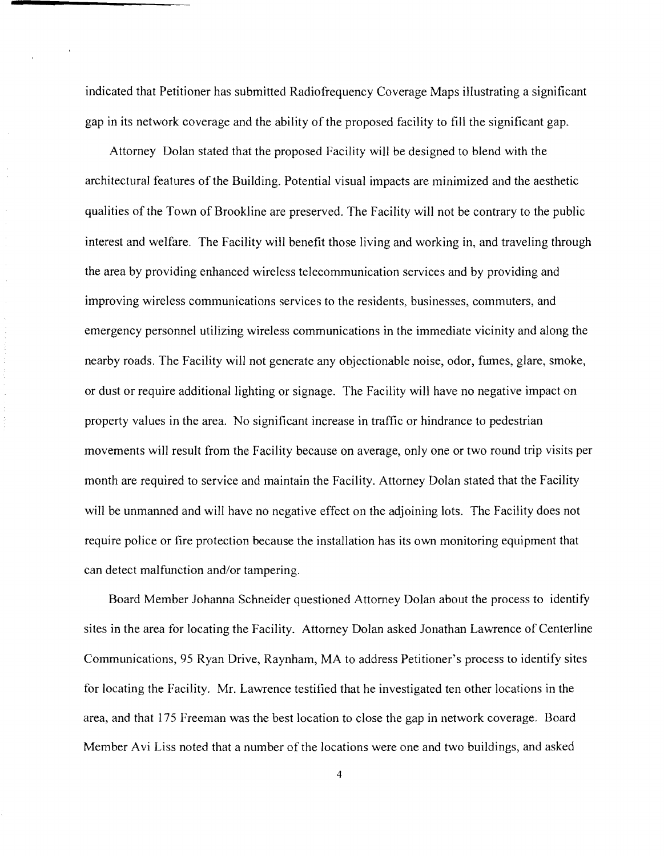indicated that Petitioner has submitted Radiofrequency Coverage Maps illustrating a significant gap in its network coverage and the ability of the proposed facility to fill the significant gap.

Attorney Dolan stated that the proposed Facility will be designed to blend with the architectural features of the Building. Potential visual impacts are minimized and the aesthetic qualities of the Town of Brookline are preserved. The Facility will not be contrary to the public interest and welfare. The Facility will benefit those living and working in, and traveling through the area by providing enhanced wireless telecommunication services and by providing and improving wireless communications services to the residents, businesses, commuters, and emergency personnel utilizing wireless communications in the immediate vicinity and along the nearby roads. The Facility will not generate any objectionable noise, odor, fumes, glare, smoke, or dust or require additional lighting or signage. The Facility will have no negative impact on property values in the area. No significant increase in traffic or hindrance to pedestrian movements will result from the Facility because on average, only one or two round trip visits per month are required to service and maintain the Facility. Attorney Dolan stated that the Facility will be unmanned and will have no negative effect on the adjoining lots. The Facility does not require police or fire protection because the installation has its own monitoring equipment that can detect malfunction and/or tampering.

 $\hat{\epsilon}$ 

Board Member Johanna Schneider questioned Attorney Dolan about the process to identify sites in the area for locating the Facility. Attorney Dolan asked Jonathan Lawrence of Centerline Communications, 95 Ryan Drive, Raynham, MA to address Petitioner's process to identify sites for locating the Facility. Mr. Lawrence testified that he investigated ten other locations in the area, and that 175 Freeman was the best location to close the gap in network coverage. Board Member Avi Liss noted that a number of the locations were one and two buildings, and asked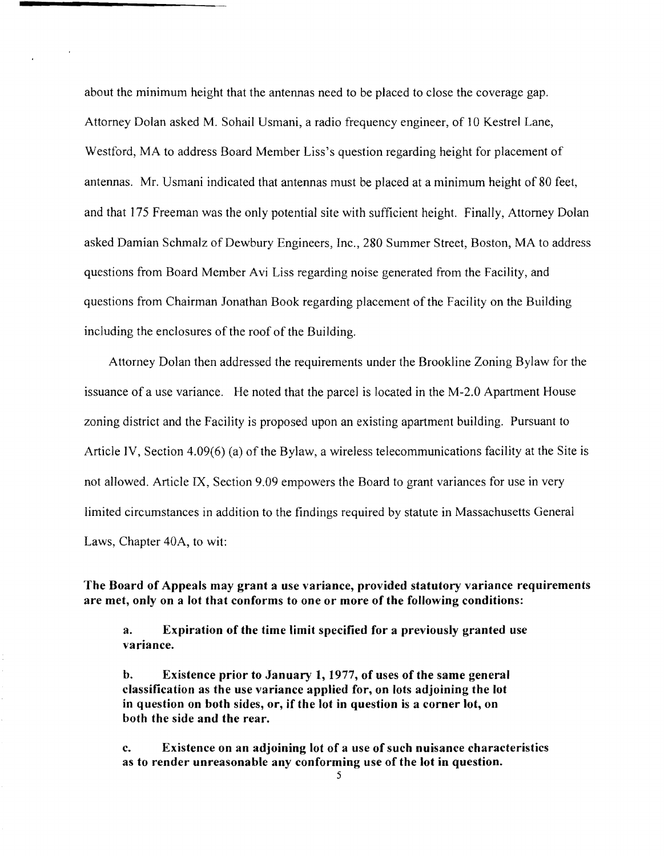about the minimum height that the antennas need to be placed to close the coverage gap. Attorney Dolan asked M. Sohail Usmani, a radio frequency engineer, of 10 Kestrel Lane, Westford, MA to address Board Member Liss's question regarding height for placement of antennas. Mr. Usmani indicated that antennas must be placed at a minimum height of 80 feet, and that 175 Freeman was the only potential site with sufficient height. Finally, Attorney Dolan asked Damian Schmalz of Dewbury Engineers, Inc., 280 Summer Street, Boston, MA to address questions from Board Member Avi Liss regarding noise generated from the Facility, and questions from Chairman Jonathan Book regarding placement of the Facility on the Building including the enclosures of the roof of the Building.

Attorney Dolan then addressed the requirements under the Brookline Zoning Bylaw for the issuance of a use variance. He noted that the parcel is located in the M-2.0 Apartment House zoning district and the Facility is proposed upon an existing apartment building. Pursuant to Article IV, Section 4.09(6) (a) of the Bylaw, a wireless telecommunications facility at the Site is not allowed. Article IX, Section 9.09 empowers the Board to grant variances for use in very limited circumstances in addition to the findings required by statute in Massachusetts General Laws, Chapter 40A, to wit:

The Board of Appeals may grant a use variance, provided statutory variance requirements are met, only on a lot that conforms to one or more of the following conditions:

a. Expiration of the time limit specified for a previously granted use variance.

b. Existence prior to January 1, 1977, of uses of the same general classification as the use variance applied for, on lots adjoining the lot in question on both sides, or, if the lot in question is a corner lot, on both the side and the rear.

c. Existence on an adjoining lot of a use of such nuisance characteristics as to render unreasonable any conforming use of the lot in question.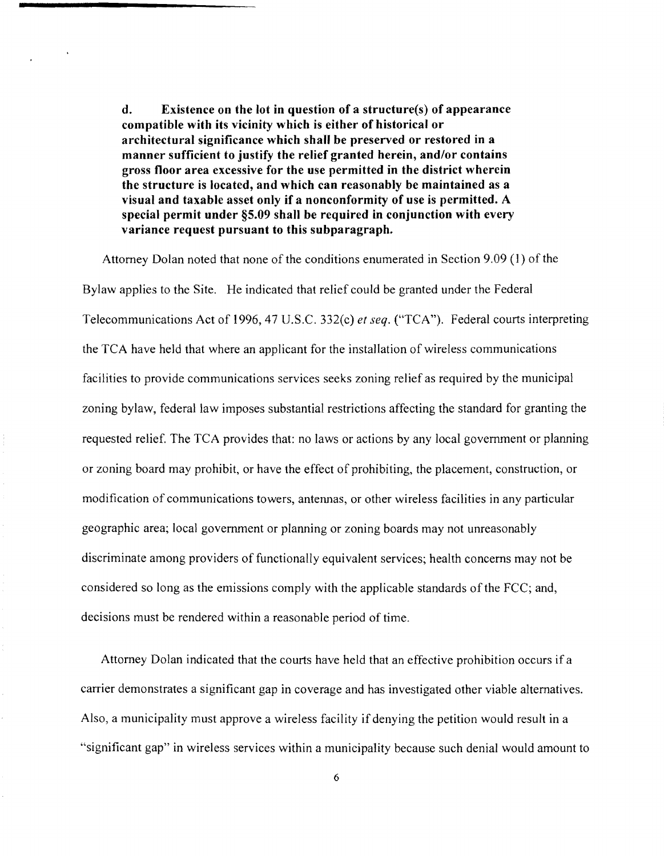**d. Existence on the lot in question of a structure{s) of appearance compatible with its vicinity which is either of historical or**  architectural significance which shall be preserved or restored in a **manner sufficient to justify the relief granted herein, and/or contains gross floor area excessive for the use permitted in the district wherein the structure is located, and which can reasonably be maintained as a visual and taxable asset only if a nonconformity of use is permitted. A special permit under §S.09 shall be required in conjunction with every variance request pursuant to this subparagraph.** 

Attorney Dolan noted that none of the conditions enumerated in Section 9.09 (l) of the Bylaw applies to the Site. He indicated that relief could be granted under the Federal Telecommunications Act of 1996, 47 U.S.c. 332(c) *et seq.* ("TCA"). Federal courts interpreting the TCA have held that where an applicant for the installation of wireless communications facilities to provide communications services seeks zoning relief as required by the municipal zoning bylaw, federal law imposes substantial restrictions affecting the standard for granting the requested relief. The TCA provides that: no laws or actions by any local government or planning or zoning board may prohibit, or have the effect of prohibiting, the placement, construction, or modification of communications towers, antennas, or other wireless facilities in any particular geographic area; local government or planning or zoning boards may not unreasonably discriminate among providers of functionally equivalent services; health concerns may not be considered so long as the emissions comply with the applicable standards of the FCC; and, decisions must be rendered within a reasonable period of time.

Attorney Dolan indicated that the courts have held that an effective prohibition occurs if a carrier demonstrates a significant gap in coverage and has investigated other viable alternatives. Also, a municipality must approve a wireless facility if denying the petition would result in a "significant gap" in wireless services within a municipality because such denial would amount to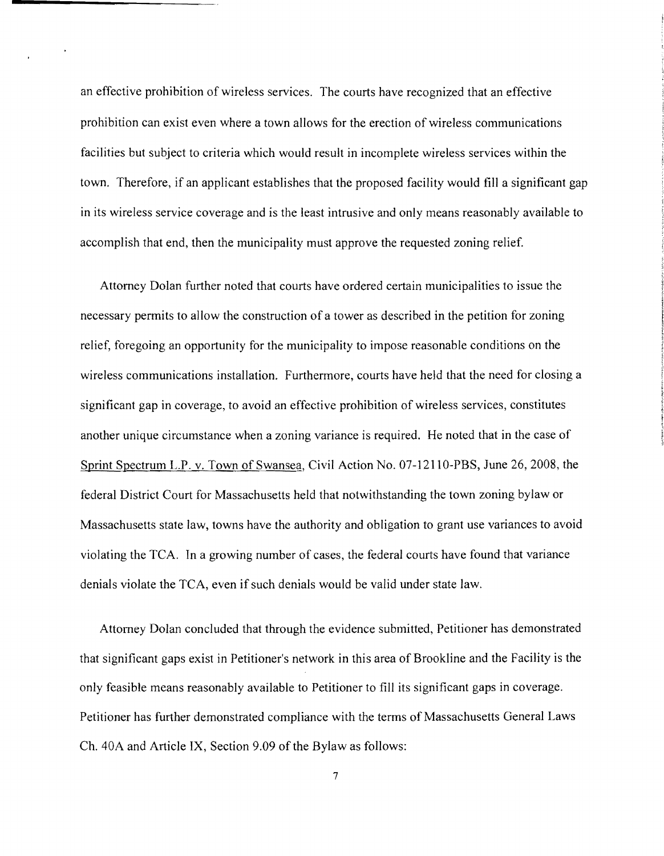an effective prohibition of wireless services. The courts have recognized that an effective prohibition can exist even where a town allows for the erection of wireless communications facilities but subject to criteria which would result in incomplete wireless services within the town. Therefore, if an applicant establishes that the proposed facility would fill a significant gap in its wireless service coverage and is the least intrusive and only means reasonably available to accomplish that end, then the municipality must approve the requested zoning relief.

Attorney Dolan further noted that courts have ordered certain municipalities to issue the necessary permits to allow the construction of a tower as described in the petition for zoning relief, foregoing an opportunity for the municipality to impose reasonable conditions on the wireless communications installation. Furthermore, courts have held that the need for closing a significant gap in coverage, to avoid an effective prohibition of wireless services, constitutes another unique circumstance when a zoning variance is required. He noted that in the case of Sprint Spectrum L.P. v. Town of Swansea, Civil Action No. 07-1211O-PBS, June 26, 2008, the federal District Court for Massachusetts held that notwithstanding the town zoning bylaw or Massachusetts state law, towns have the authority and obligation to grant use variances to avoid violating the TCA. In a growing number of cases, the federal courts have found that variance denials violate the TCA, even if such denials would be valid under state law.

Attorney Dolan concluded that through the evidence submitted, Petitioner has demonstrated that significant gaps exist in Petitioner's network in this area of Brookline and the Facility is the only feasible means reasonably available to Petitioner to fill its significant gaps in coverage. Petitioner has further demonstrated compliance with the terms of Massachusetts General Laws Ch. 40A and Article IX, Section 9.09 of the Bylaw as follows: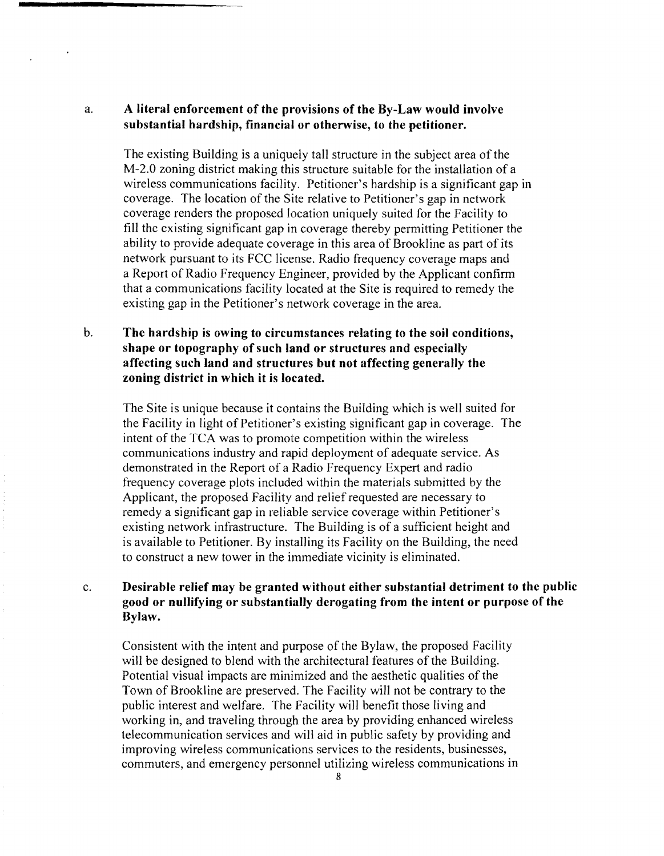### a. **A literal enforcement of the provisions of the By-Law would involve substantial hardship, financial or otherwise, to the petitioner.**

The existing Building is a uniquely tall structure in the subject area of the M-2.0 zoning district making this structure suitable for the installation of a wireless communications facility. Petitioner's hardship is a significant gap in coverage. The location of the Site relative to Petitioner's gap in network coverage renders the proposed location uniquely suited for the Facility to fill the existing significant gap in coverage thereby permitting Petitioner the ability to provide adequate coverage in this area of Brookline as part of its network pursuant to its FCC license. Radio frequency coverage maps and a Report of Radio Frequency Engineer, provided by the Applicant confirm that a communications facility located at the Site is required to remedy the existing gap in the Petitioner's network coverage in the area.

# b. **The hardship is owing to circumstances relating to the soil conditions, shape or topography of such land or structures and especially affecting such land and structures but not affecting generally the zoning district in which it is located.**

The Site is unique because it contains the Building which is well suited for the Facility in light of Petitioner's existing significant gap in coverage. The intent of the TCA was to promote competition within the wireless communications industry and rapid deployment of adequate service. As demonstrated in the Report of a Radio Frequency Expert and radio frequency coverage plots included within the materials submitted by the Applicant, the proposed Facility and relief requested are necessary to remedy a significant gap in reliable service coverage within Petitioner's existing network infrastructure. The Building is of a sufficient height and is available to Petitioner. By installing its Facility on the Building, the need to construct a new tower in the immediate vicinity is eliminated.

# c. **Desirable relief may be granted without either substantial detriment to the public good or nullifying or substantially derogating from the intent or purpose of the Bylaw.**

Consistent with the intent and purpose of the Bylaw, the proposed Facility will be designed to blend with the architectural features of the Building. Potential visual impacts are minimized and the aesthetic qualities of the Town of Brookline are preserved. The Facility will not be contrary to the public interest and welfare. The Facility will benefit those living and working in, and traveling through the area by providing enhanced wireless telecommunication services and will aid in public safety by providing and improving wireless communications services to the residents, businesses, commuters, and emergency personnel utilizing wireless communications in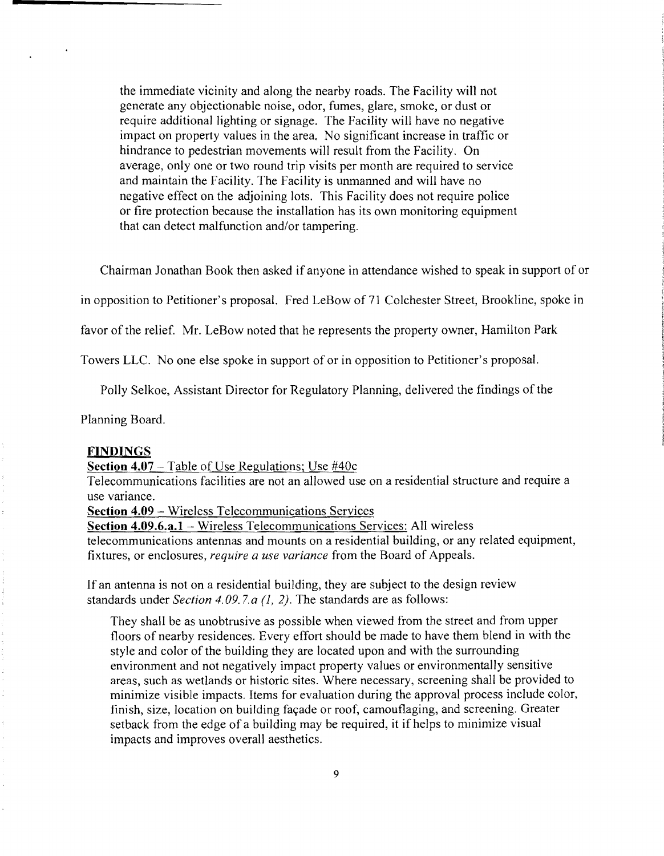the immediate vicinity and along the nearby roads. The Facility will not generate any objectionable noise, odor, fumes, glare, smoke, or dust or require additional lighting or signage. The Facility will have no negative impact on property values in the area. No significant increase in traffic or hindrance to pedestrian movements will result from the Facility. On average, only one or two round trip visits per month are required to service and maintain the Facility. The Facility is unmanned and will have no negative effect on the adjoining lots. This Facility does not require police or fire protection because the installation has its own monitoring equipment that can detect malfunction and/or tampering.

Chairman Jonathan Book then asked if anyone in attendance wished to speak in support of or

in opposition to Petitioner's proposal. Fred LeBow of 71 Colchester Street, Brookline, spoke in

favor of the relief. Mr. LeBow noted that he represents the property owner, Hamilton Park

Towers LLC. No one else spoke in support of or in opposition to Petitioner's proposal.

Polly Selkoe, Assistant Director for Regulatory Planning, delivered the findings of the

Planning Board.

#### **FINDINGS**

**Section 4.07** Table of Use Regulations; Use #40c

Telecommunications facilities are not an allowed use on a residential structure and require a use variance.

**Section 4.09 – Wireless Telecommunications Services** 

**Section 4.09.6.a.1** – Wireless Telecommunications Services: All wireless telecommunications antennas and mounts on a residential building, or any related equipment, fixtures, or enclosures, *require a use variance* from the Board of Appeals.

If an antenna is not on a residential building, they are subject to the design review standards under *Section 4.09.7.a (1, 2)*. The standards are as follows:

They shall be as unobtrusive as possible when viewed from the street and from upper floors of nearby residences. Every effort should be made to have them blend in with the style and color of the building they are located upon and with the surrounding environment and not negatively impact property values or environmentally sensitive areas, such as wetlands or historic sites. Where necessary, screening shall be provided to minimize visible impacts. Items for evaluation during the approval process include color, finish, size, location on building façade or roof, camouflaging, and screening. Greater setback from the edge of a building may be required, it if helps to minimize visual impacts and improves overall aesthetics.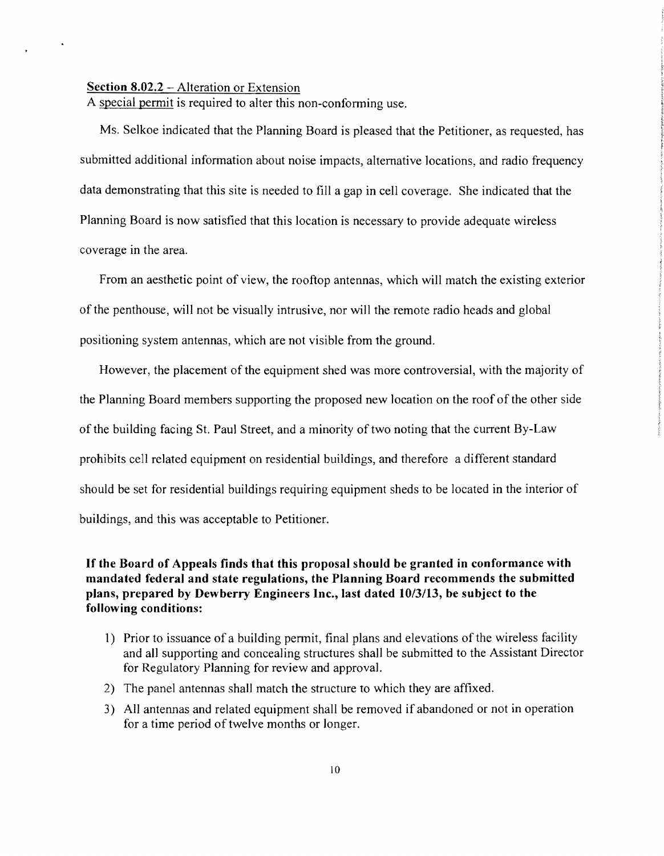#### Section  $8.02.2 -$  Alteration or Extension

A special permit is required to alter this non-conforming use.

Ms. Selkoe indicated that the Planning Board is pleased that the Petitioner, as requested, has submitted additional information about noise impacts, alternative locations, and radio frequency data demonstrating that this site is needed to fill a gap in cell coverage. She indicated that the Planning Board is now satisfied that this location is necessary to provide adequate wireless coverage in the area.

From an aesthetic point of view, the rooftop antennas, which will match the existing exterior ofthe penthouse, will not be visually intrusive, nor will the remote radio heads and global positioning system antennas, which are not visible from the ground.

However, the placement of the equipment shed was more controversial, with the majority of the Planning Board members supporting the proposed new location on the roof of the other side of the building facing St. Paul Street, and a minority of two noting that the current By-Law prohibits cell related equipment on residential buildings, and therefore a different standard should be set for residential buildings requiring equipment sheds to be located in the interior of buildings, and this was acceptable to Petitioner.

## If the Board of Appeals finds that this proposal should be granted in conformance with mandated federal and state regulations, the Planning Board recommends the submitted plans, prepared by Dewberry Engineers Inc., last dated 10/3/13, be subject to the following conditions:

- 1) Prior to issuance of a building permit, final plans and elevations of the wireless facility and all supporting and concealing structures shall be submitted to the Assistant Director for Regulatory Planning for review and approval.
- 2) The panel antennas shall match the structure to which they are affixed.
- 3) All antennas and related equipment shall be removed if abandoned or not in operation for a time period of twelve months or longer.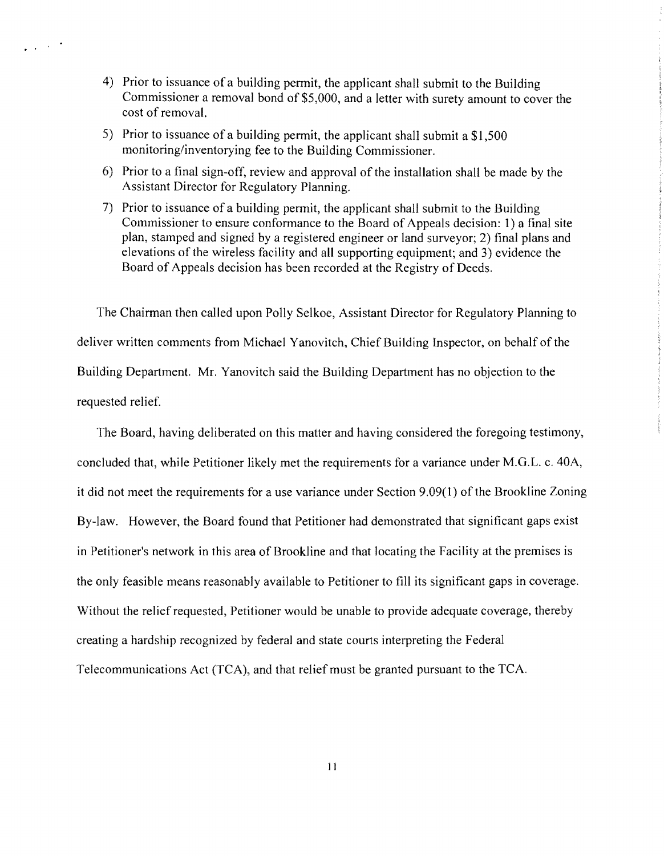- 4) Prior to issuance of a building permit, the applicant shall submit to the Building Commissioner a removal bond of \$5,000, and a letter with surety amount to cover the cost of removal.
- 5) Prior to issuance of a building permit, the applicant shall submit a  $$1,500$ monitoring/inventorying fee to the Building Commissioner.

 $\omega_{\rm{eff}} \sim 10^{-4}$ 

- 6) Prior to a final sign-off, review and approval of the installation shall be made by the Assistant Director for Regulatory Planning.
- 7) Prior to issuance of a building permit, the applicant shall submit to the Building Commissioner to ensure conformance to the Board of Appeals decision: 1) a final site plan, stamped and signed by a registered engineer or land surveyor; 2) final plans and elevations of the wireless facility and all supporting equipment; and 3) evidence the Board of Appeals decision has been recorded at the Registry of Deeds.

The Chairman then called upon Polly Selkoe, Assistant Director for Regulatory Planning to deliver written comments from Michael Yanovitch, Chief Building Inspector, on behalf of the Building Department. Mr. Yanovitch said the Building Department has no objection to the requested relief.

The Board, having deliberated on this matter and having considered the foregoing testimony, concluded that, while Petitioner likely met the requirements for a variance under M.O.L. c. 40A, it did not meet the requirements for a use variance under Section 9.09(1) of the Brookline Zoning By-law. However, the Board found that Petitioner had demonstrated that significant gaps exist in Petitioner's network in this area of Brookline and that locating the Facility at the premises is the only feasible means reasonably available to Petitioner to fill its significant gaps in coverage. Without the relief requested, Petitioner would be unable to provide adequate coverage, thereby creating a hardship recognized by federal and state courts interpreting the Federal Telecommunications Act (TCA), and that relief must be granted pursuant to the TCA.